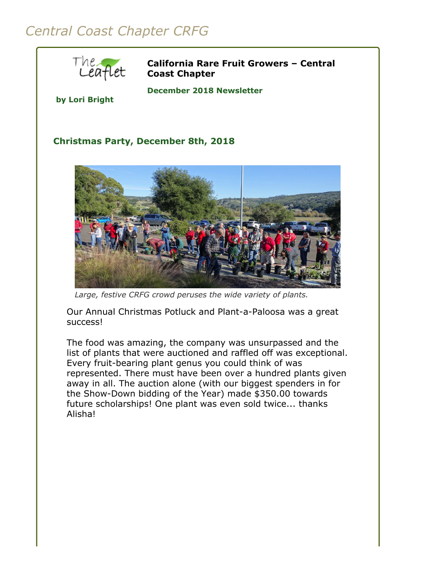## *Central Coast Chapter CRFG*



**California Rare Fruit Growers – Central Coast Chapter**

**by Lori Bright**

## **December 2018 Newsletter**

## **Christmas Party, December 8th, 2018**



*Large, festive CRFG crowd peruses the wide variety of plants.*

Our Annual Christmas Potluck and Plant-a-Paloosa was a great success!

The food was amazing, the company was unsurpassed and the list of plants that were auctioned and raffled off was exceptional. Every fruit-bearing plant genus you could think of was represented. There must have been over a hundred plants given away in all. The auction alone (with our biggest spenders in for the Show-Down bidding of the Year) made \$350.00 towards future scholarships! One plant was even sold twice... thanks Alisha!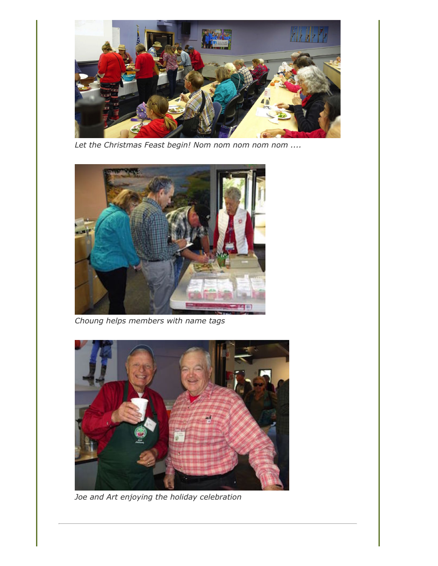

*Let the Christmas Feast begin! Nom nom nom nom nom ....*



*Choung helps members with name tags*



*Joe and Art enjoying the holiday celebration*